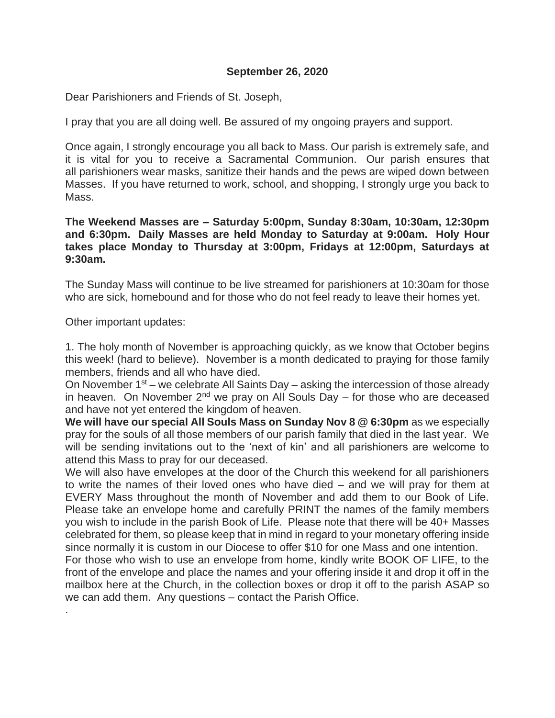## **September 26, 2020**

Dear Parishioners and Friends of St. Joseph,

I pray that you are all doing well. Be assured of my ongoing prayers and support.

Once again, I strongly encourage you all back to Mass. Our parish is extremely safe, and it is vital for you to receive a Sacramental Communion. Our parish ensures that all parishioners wear masks, sanitize their hands and the pews are wiped down between Masses. If you have returned to work, school, and shopping, I strongly urge you back to Mass.

**The Weekend Masses are – Saturday 5:00pm, Sunday 8:30am, 10:30am, 12:30pm and 6:30pm. Daily Masses are held Monday to Saturday at 9:00am. Holy Hour takes place Monday to Thursday at 3:00pm, Fridays at 12:00pm, Saturdays at 9:30am.**

The Sunday Mass will continue to be live streamed for parishioners at 10:30am for those who are sick, homebound and for those who do not feel ready to leave their homes yet.

Other important updates:

.

1. The holy month of November is approaching quickly, as we know that October begins this week! (hard to believe). November is a month dedicated to praying for those family members, friends and all who have died.

On November  $1^{st}$  – we celebrate All Saints Day – asking the intercession of those already in heaven. On November  $2^{nd}$  we pray on All Souls Day – for those who are deceased and have not yet entered the kingdom of heaven.

**We will have our special All Souls Mass on Sunday Nov 8 @ 6:30pm** as we especially pray for the souls of all those members of our parish family that died in the last year. We will be sending invitations out to the 'next of kin' and all parishioners are welcome to attend this Mass to pray for our deceased.

We will also have envelopes at the door of the Church this weekend for all parishioners to write the names of their loved ones who have died – and we will pray for them at EVERY Mass throughout the month of November and add them to our Book of Life. Please take an envelope home and carefully PRINT the names of the family members you wish to include in the parish Book of Life. Please note that there will be 40+ Masses celebrated for them, so please keep that in mind in regard to your monetary offering inside since normally it is custom in our Diocese to offer \$10 for one Mass and one intention.

For those who wish to use an envelope from home, kindly write BOOK OF LIFE, to the front of the envelope and place the names and your offering inside it and drop it off in the mailbox here at the Church, in the collection boxes or drop it off to the parish ASAP so we can add them. Any questions – contact the Parish Office.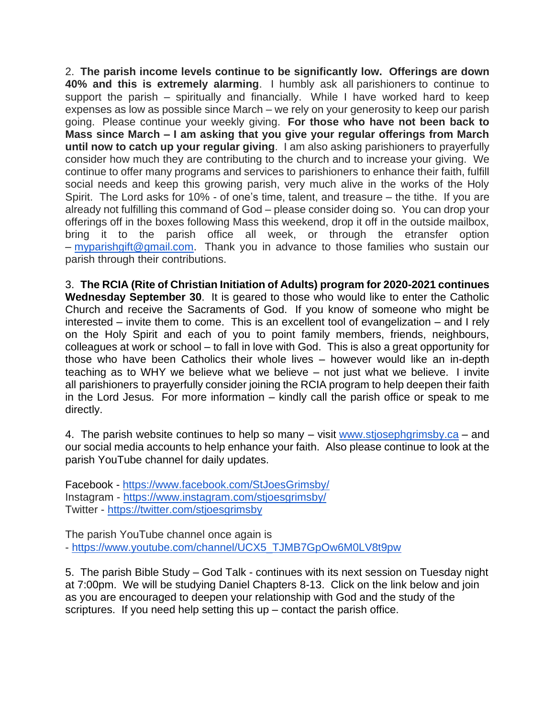2. **The parish income levels continue to be significantly low. Offerings are down 40% and this is extremely alarming**. I humbly ask all parishioners to continue to support the parish – spiritually and financially. While I have worked hard to keep expenses as low as possible since March – we rely on your generosity to keep our parish going. Please continue your weekly giving. **For those who have not been back to Mass since March – I am asking that you give your regular offerings from March until now to catch up your regular giving**. I am also asking parishioners to prayerfully consider how much they are contributing to the church and to increase your giving. We continue to offer many programs and services to parishioners to enhance their faith, fulfill social needs and keep this growing parish, very much alive in the works of the Holy Spirit. The Lord asks for 10% - of one's time, talent, and treasure – the tithe. If you are already not fulfilling this command of God – please consider doing so. You can drop your offerings off in the boxes following Mass this weekend, drop it off in the outside mailbox, bring it to the parish office all week, or through the etransfer option – [myparishgift@gmail.com.](mailto:myparishgift@gmail.com) Thank you in advance to those families who sustain our parish through their contributions.

3. **The RCIA (Rite of Christian Initiation of Adults) program for 2020-2021 continues Wednesday September 30**. It is geared to those who would like to enter the Catholic Church and receive the Sacraments of God. If you know of someone who might be interested – invite them to come. This is an excellent tool of evangelization – and I rely on the Holy Spirit and each of you to point family members, friends, neighbours, colleagues at work or school – to fall in love with God. This is also a great opportunity for those who have been Catholics their whole lives – however would like an in-depth teaching as to WHY we believe what we believe – not just what we believe. I invite all parishioners to prayerfully consider joining the RCIA program to help deepen their faith in the Lord Jesus. For more information – kindly call the parish office or speak to me directly.

4. The parish website continues to help so many – visit [www.stjosephgrimsby.ca](http://www.stjosephgrimsby.ca/) – and our social media accounts to help enhance your faith. Also please continue to look at the parish YouTube channel for daily updates.

Facebook - <https://www.facebook.com/StJoesGrimsby/> Instagram - <https://www.instagram.com/stjoesgrimsby/> Twitter - <https://twitter.com/stjoesgrimsby>

The parish YouTube channel once again is - [https://www.youtube.com/channel/UCX5\\_TJMB7GpOw6M0LV8t9pw](https://www.youtube.com/channel/UCX5_TJMB7GpOw6M0LV8t9pw)

5. The parish Bible Study – God Talk - continues with its next session on Tuesday night at 7:00pm. We will be studying Daniel Chapters 8-13. Click on the link below and join as you are encouraged to deepen your relationship with God and the study of the scriptures. If you need help setting this up – contact the parish office.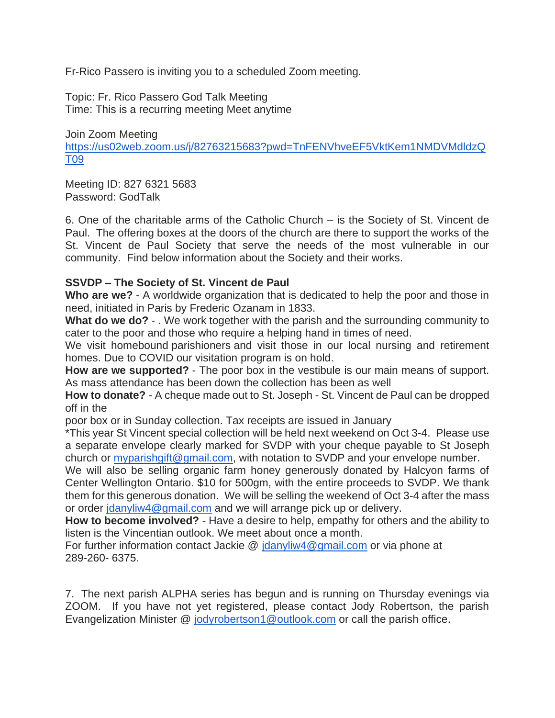Fr-Rico Passero is inviting you to a scheduled Zoom meeting.

Topic: Fr. Rico Passero God Talk Meeting Time: This is a recurring meeting Meet anytime

Join Zoom Meeting [https://us02web.zoom.us/j/82763215683?pwd=TnFENVhveEF5VktKem1NMDVMdldzQ](https://us02web.zoom.us/j/82763215683?pwd=TnFENVhveEF5VktKem1NMDVMdldzQT09) [T09](https://us02web.zoom.us/j/82763215683?pwd=TnFENVhveEF5VktKem1NMDVMdldzQT09)

Meeting ID: 827 6321 5683 Password: GodTalk

6. One of the charitable arms of the Catholic Church – is the Society of St. Vincent de Paul. The offering boxes at the doors of the church are there to support the works of the St. Vincent de Paul Society that serve the needs of the most vulnerable in our community. Find below information about the Society and their works.

# **SSVDP – The Society of St. Vincent de Paul**

**Who are we?** - A worldwide organization that is dedicated to help the poor and those in need, initiated in Paris by Frederic Ozanam in 1833.

**What do we do?** - . We work together with the parish and the surrounding community to cater to the poor and those who require a helping hand in times of need.

We visit homebound parishioners and visit those in our local nursing and retirement homes. Due to COVID our visitation program is on hold.

**How are we supported?** - The poor box in the vestibule is our main means of support. As mass attendance has been down the collection has been as well

**How to donate?** - A cheque made out to St. Joseph - St. Vincent de Paul can be dropped off in the

poor box or in Sunday collection. Tax receipts are issued in January

\*This year St Vincent special collection will be held next weekend on Oct 3-4. Please use a separate envelope clearly marked for SVDP with your cheque payable to St Joseph church or *myparishgift@gmail.com*, with notation to SVDP and your envelope number.

We will also be selling organic farm honey generously donated by Halcyon farms of Center Wellington Ontario. \$10 for 500gm, with the entire proceeds to SVDP. We thank them for this generous donation. We will be selling the weekend of Oct 3-4 after the mass or order [jdanyliw4@gmail.com](mailto:jdanyliw4@gmail.com) and we will arrange pick up or delivery.

**How to become involved?** - Have a desire to help, empathy for others and the ability to listen is the Vincentian outlook. We meet about once a month.

For further information contact Jackie @ [jdanyliw4@gmail.com](mailto:jdanyliw4@gmail.com) or via phone at 289-260- 6375.

7. The next parish ALPHA series has begun and is running on Thursday evenings via ZOOM. If you have not yet registered, please contact Jody Robertson, the parish Evangelization Minister @ [jodyrobertson1@outlook.com](mailto:jodyrobertson1@outlook.com) or call the parish office.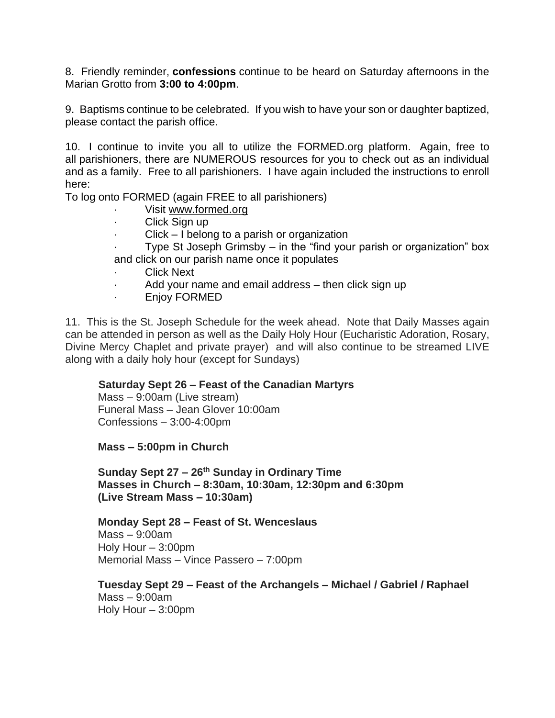8. Friendly reminder, **confessions** continue to be heard on Saturday afternoons in the Marian Grotto from **3:00 to 4:00pm**.

9. Baptisms continue to be celebrated. If you wish to have your son or daughter baptized, please contact the parish office.

10. I continue to invite you all to utilize the FORMED.org platform. Again, free to all parishioners, there are NUMEROUS resources for you to check out as an individual and as a family. Free to all parishioners. I have again included the instructions to enroll here:

To log onto FORMED (again FREE to all parishioners)

- Visit [www.formed.org](http://www.formed.org/)
- · Click Sign up
- $Click I belong to a parish or organization$
- Type St Joseph Grimsby in the "find your parish or organization" box and click on our parish name once it populates
- **Click Next**
- Add your name and email address  $-$  then click sign up
- · Enjoy FORMED

11. This is the St. Joseph Schedule for the week ahead. Note that Daily Masses again can be attended in person as well as the Daily Holy Hour (Eucharistic Adoration, Rosary, Divine Mercy Chaplet and private prayer) and will also continue to be streamed LIVE along with a daily holy hour (except for Sundays)

# **Saturday Sept 26 – Feast of the Canadian Martyrs**

Mass – 9:00am (Live stream) Funeral Mass – Jean Glover 10:00am Confessions – 3:00-4:00pm

**Mass – 5:00pm in Church**

**Sunday Sept 27 – 26 th Sunday in Ordinary Time Masses in Church – 8:30am, 10:30am, 12:30pm and 6:30pm (Live Stream Mass – 10:30am)**

**Monday Sept 28 – Feast of St. Wenceslaus**

Mass – 9:00am Holy Hour – 3:00pm Memorial Mass – Vince Passero – 7:00pm

**Tuesday Sept 29 – Feast of the Archangels – Michael / Gabriel / Raphael** Mass – 9:00am Holy Hour – 3:00pm